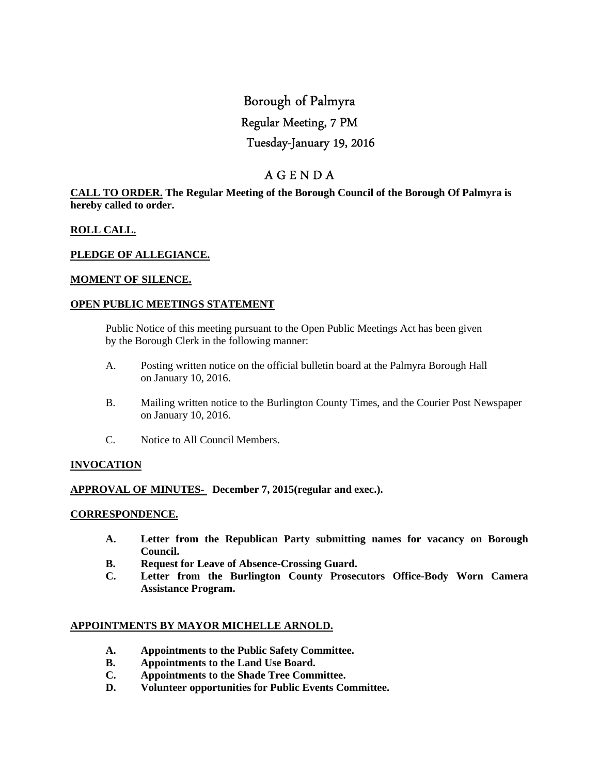# Borough of Palmyra

## Regular Meeting, 7 PM

## Tuesday-January 19, 2016

# A G E N D A

## **CALL TO ORDER. The Regular Meeting of the Borough Council of the Borough Of Palmyra is hereby called to order.**

## **ROLL CALL.**

## **PLEDGE OF ALLEGIANCE.**

## **MOMENT OF SILENCE.**

## **OPEN PUBLIC MEETINGS STATEMENT**

 Public Notice of this meeting pursuant to the Open Public Meetings Act has been given by the Borough Clerk in the following manner:

- A. Posting written notice on the official bulletin board at the Palmyra Borough Hall on January 10, 2016.
- B. Mailing written notice to the Burlington County Times, and the Courier Post Newspaper on January 10, 2016.
- C. Notice to All Council Members.

## **INVOCATION**

## **APPROVAL OF MINUTES- December 7, 2015(regular and exec.).**

#### **CORRESPONDENCE.**

- **A. Letter from the Republican Party submitting names for vacancy on Borough Council.**
- **B. Request for Leave of Absence-Crossing Guard.**
- **C. Letter from the Burlington County Prosecutors Office-Body Worn Camera Assistance Program.**

## **APPOINTMENTS BY MAYOR MICHELLE ARNOLD.**

- **A. Appointments to the Public Safety Committee.**
- **B. Appointments to the Land Use Board.**
- **C. Appointments to the Shade Tree Committee.**
- **D. Volunteer opportunities for Public Events Committee.**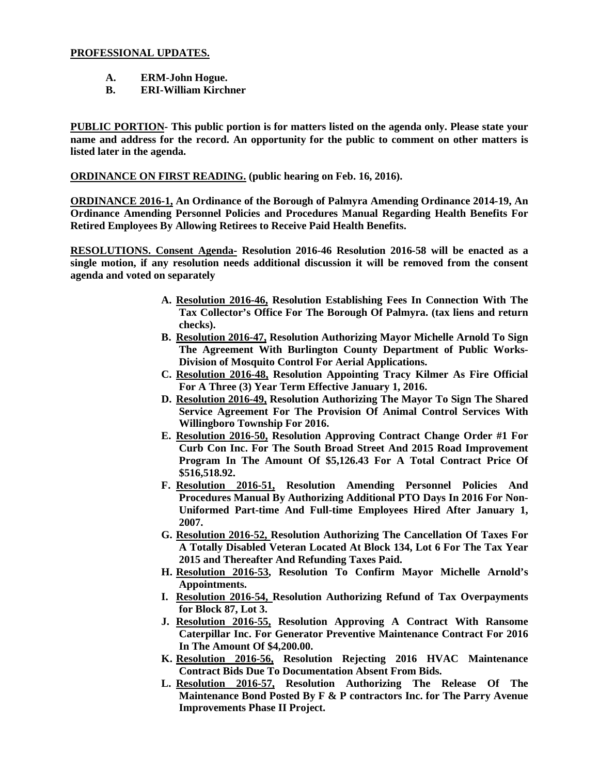## **PROFESSIONAL UPDATES.**

- **A. ERM-John Hogue.**
- **B. ERI-William Kirchner**

**PUBLIC PORTION- This public portion is for matters listed on the agenda only. Please state your name and address for the record. An opportunity for the public to comment on other matters is listed later in the agenda.** 

**ORDINANCE ON FIRST READING. (public hearing on Feb. 16, 2016).** 

**ORDINANCE 2016-1, An Ordinance of the Borough of Palmyra Amending Ordinance 2014-19, An Ordinance Amending Personnel Policies and Procedures Manual Regarding Health Benefits For Retired Employees By Allowing Retirees to Receive Paid Health Benefits.** 

**RESOLUTIONS. Consent Agenda- Resolution 2016-46 Resolution 2016-58 will be enacted as a single motion, if any resolution needs additional discussion it will be removed from the consent agenda and voted on separately** 

- **A. Resolution 2016-46, Resolution Establishing Fees In Connection With The Tax Collector's Office For The Borough Of Palmyra. (tax liens and return checks).**
- **B. Resolution 2016-47, Resolution Authorizing Mayor Michelle Arnold To Sign The Agreement With Burlington County Department of Public Works-Division of Mosquito Control For Aerial Applications.**
- **C. Resolution 2016-48, Resolution Appointing Tracy Kilmer As Fire Official For A Three (3) Year Term Effective January 1, 2016.**
- **D. Resolution 2016-49, Resolution Authorizing The Mayor To Sign The Shared Service Agreement For The Provision Of Animal Control Services With Willingboro Township For 2016.**
- **E. Resolution 2016-50, Resolution Approving Contract Change Order #1 For Curb Con Inc. For The South Broad Street And 2015 Road Improvement Program In The Amount Of \$5,126.43 For A Total Contract Price Of \$516,518.92.**
- **F. Resolution 2016-51, Resolution Amending Personnel Policies And Procedures Manual By Authorizing Additional PTO Days In 2016 For Non-Uniformed Part-time And Full-time Employees Hired After January 1, 2007.**
- **G. Resolution 2016-52, Resolution Authorizing The Cancellation Of Taxes For A Totally Disabled Veteran Located At Block 134, Lot 6 For The Tax Year 2015 and Thereafter And Refunding Taxes Paid.**
- **H. Resolution 2016-53, Resolution To Confirm Mayor Michelle Arnold's Appointments.**
- **I. Resolution 2016-54, Resolution Authorizing Refund of Tax Overpayments for Block 87, Lot 3.**
- **J. Resolution 2016-55, Resolution Approving A Contract With Ransome Caterpillar Inc. For Generator Preventive Maintenance Contract For 2016 In The Amount Of \$4,200.00.**
- **K. Resolution 2016-56, Resolution Rejecting 2016 HVAC Maintenance Contract Bids Due To Documentation Absent From Bids.**
- **L. Resolution 2016-57, Resolution Authorizing The Release Of The Maintenance Bond Posted By F & P contractors Inc. for The Parry Avenue Improvements Phase II Project.**